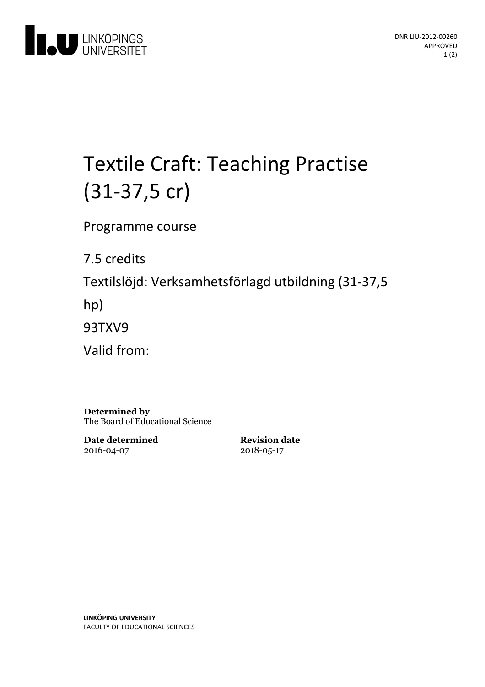

# Textile Craft: Teaching Practise (31-37,5 cr)

Programme course

7.5 credits

Textilslöjd: Verksamhetsförlagd utbildning(31-37,5

hp)

93TXV9

Valid from:

**Determined by** The Board of Educational Science

**Date determined** 2016-04-07

**Revision date** 2018-05-17